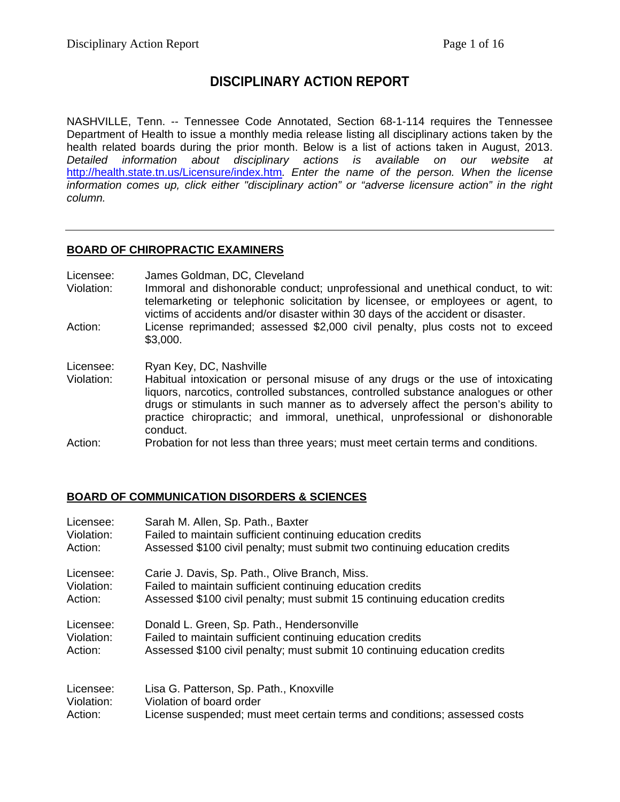# **DISCIPLINARY ACTION REPORT**

NASHVILLE, Tenn. -- Tennessee Code Annotated, Section 68-1-114 requires the Tennessee Department of Health to issue a monthly media release listing all disciplinary actions taken by the health related boards during the prior month. Below is a list of actions taken in August, 2013. *Detailed information about disciplinary actions is available on our website at*  <http://health.state.tn.us/Licensure/index.htm>*. Enter the name of the person. When the license information comes up, click either "disciplinary action" or "adverse licensure action" in the right column.*

### **BOARD OF CHIROPRACTIC EXAMINERS**

- Licensee: James Goldman, DC, Cleveland<br>Violation: Immoral and dishonorable condi Immoral and dishonorable conduct; unprofessional and unethical conduct, to wit: telemarketing or telephonic solicitation by licensee, or employees or agent, to victims of accidents and/or disaster within 30 days of the accident or disaster. Action: License reprimanded; assessed \$2,000 civil penalty, plus costs not to exceed \$3,000.
- Licensee: Ryan Key, DC, Nashville
- Violation: Habitual intoxication or personal misuse of any drugs or the use of intoxicating liquors, narcotics, controlled substances, controlled substance analogues or other drugs or stimulants in such manner as to adversely affect the person's ability to practice chiropractic; and immoral, unethical, unprofessional or dishonorable conduct.
- Action: Probation for not less than three years; must meet certain terms and conditions.

## **BOARD OF COMMUNICATION DISORDERS & SCIENCES**

| Licensee:  | Sarah M. Allen, Sp. Path., Baxter                                          |
|------------|----------------------------------------------------------------------------|
| Violation: | Failed to maintain sufficient continuing education credits                 |
| Action:    | Assessed \$100 civil penalty; must submit two continuing education credits |
| Licensee:  | Carie J. Davis, Sp. Path., Olive Branch, Miss.                             |
| Violation: | Failed to maintain sufficient continuing education credits                 |
| Action:    | Assessed \$100 civil penalty; must submit 15 continuing education credits  |
| Licensee:  | Donald L. Green, Sp. Path., Hendersonville                                 |
| Violation: | Failed to maintain sufficient continuing education credits                 |
| Action:    | Assessed \$100 civil penalty; must submit 10 continuing education credits  |
| Licensee:  | Lisa G. Patterson, Sp. Path., Knoxville                                    |
| Violation: | Violation of board order                                                   |
| Action:    | License suspended; must meet certain terms and conditions; assessed costs  |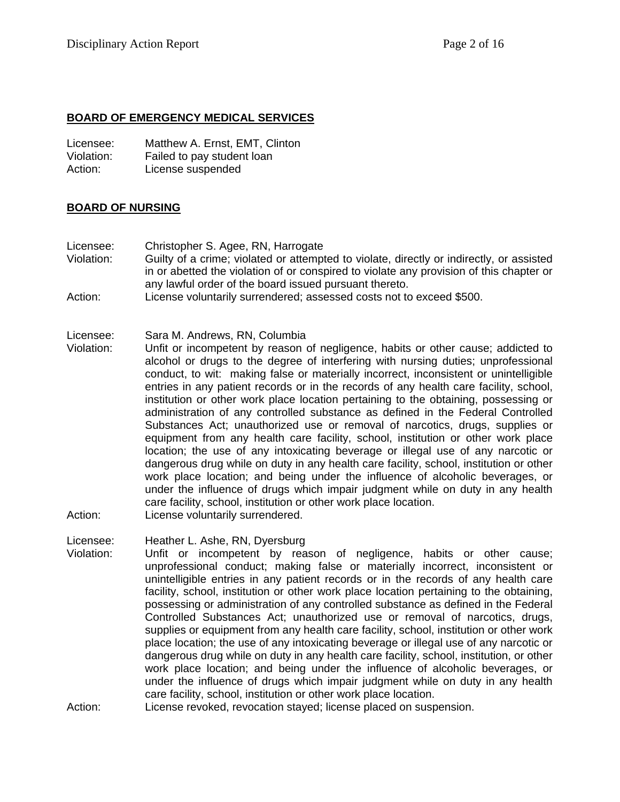### **BOARD OF EMERGENCY MEDICAL SERVICES**

| Licensee:  | Matthew A. Ernst, EMT, Clinton |
|------------|--------------------------------|
| Violation: | Failed to pay student loan     |
| Action:    | License suspended              |

### **BOARD OF NURSING**

- Licensee: Christopher S. Agee, RN, Harrogate
- Violation: Guilty of a crime; violated or attempted to violate, directly or indirectly, or assisted in or abetted the violation of or conspired to violate any provision of this chapter or any lawful order of the board issued pursuant thereto.
- Action: License voluntarily surrendered; assessed costs not to exceed \$500.

#### Licensee: Sara M. Andrews, RN, Columbia

- Violation: Unfit or incompetent by reason of negligence, habits or other cause; addicted to alcohol or drugs to the degree of interfering with nursing duties; unprofessional conduct, to wit: making false or materially incorrect, inconsistent or unintelligible entries in any patient records or in the records of any health care facility, school, institution or other work place location pertaining to the obtaining, possessing or administration of any controlled substance as defined in the Federal Controlled Substances Act; unauthorized use or removal of narcotics, drugs, supplies or equipment from any health care facility, school, institution or other work place location; the use of any intoxicating beverage or illegal use of any narcotic or dangerous drug while on duty in any health care facility, school, institution or other work place location; and being under the influence of alcoholic beverages, or under the influence of drugs which impair judgment while on duty in any health care facility, school, institution or other work place location.
- Action: License voluntarily surrendered.
- Licensee: Heather L. Ashe, RN, Dyersburg
- Violation: Unfit or incompetent by reason of negligence, habits or other cause; unprofessional conduct; making false or materially incorrect, inconsistent or unintelligible entries in any patient records or in the records of any health care facility, school, institution or other work place location pertaining to the obtaining, possessing or administration of any controlled substance as defined in the Federal Controlled Substances Act; unauthorized use or removal of narcotics, drugs, supplies or equipment from any health care facility, school, institution or other work place location; the use of any intoxicating beverage or illegal use of any narcotic or dangerous drug while on duty in any health care facility, school, institution, or other work place location; and being under the influence of alcoholic beverages, or under the influence of drugs which impair judgment while on duty in any health care facility, school, institution or other work place location.
- Action: License revoked, revocation stayed; license placed on suspension.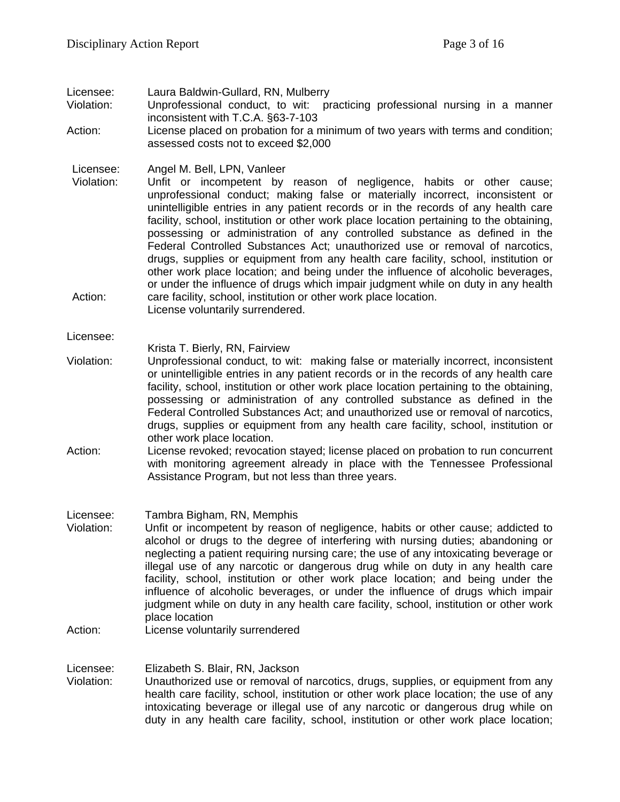Licensee: Laura Baldwin-Gullard, RN, Mulberry

Violation: Unprofessional conduct, to wit: practicing professional nursing in a manner inconsistent with T.C.A. §63-7-103

Action: License placed on probation for a minimum of two years with terms and condition; assessed costs not to exceed \$2,000

Licensee: Angel M. Bell, LPN, Vanleer

- Violation: Action: Unfit or incompetent by reason of negligence, habits or other cause; unprofessional conduct; making false or materially incorrect, inconsistent or unintelligible entries in any patient records or in the records of any health care facility, school, institution or other work place location pertaining to the obtaining, possessing or administration of any controlled substance as defined in the Federal Controlled Substances Act; unauthorized use or removal of narcotics, drugs, supplies or equipment from any health care facility, school, institution or other work place location; and being under the influence of alcoholic beverages, or under the influence of drugs which impair judgment while on duty in any health care facility, school, institution or other work place location.
- License voluntarily surrendered.
- Licensee:
	- Krista T. Bierly, RN, Fairview
- Violation: Unprofessional conduct, to wit: making false or materially incorrect, inconsistent or unintelligible entries in any patient records or in the records of any health care facility, school, institution or other work place location pertaining to the obtaining, possessing or administration of any controlled substance as defined in the Federal Controlled Substances Act; and unauthorized use or removal of narcotics, drugs, supplies or equipment from any health care facility, school, institution or other work place location.
- Action: License revoked; revocation stayed; license placed on probation to run concurrent with monitoring agreement already in place with the Tennessee Professional Assistance Program, but not less than three years.
- Licensee: Tambra Bigham, RN, Memphis
- Violation: Unfit or incompetent by reason of negligence, habits or other cause; addicted to alcohol or drugs to the degree of interfering with nursing duties; abandoning or neglecting a patient requiring nursing care; the use of any intoxicating beverage or illegal use of any narcotic or dangerous drug while on duty in any health care facility, school, institution or other work place location; and being under the influence of alcoholic beverages, or under the influence of drugs which impair judgment while on duty in any health care facility, school, institution or other work place location
- Action: License voluntarily surrendered

Licensee: Elizabeth S. Blair, RN, Jackson

Unauthorized use or removal of narcotics, drugs, supplies, or equipment from any health care facility, school, institution or other work place location; the use of any intoxicating beverage or illegal use of any narcotic or dangerous drug while on duty in any health care facility, school, institution or other work place location;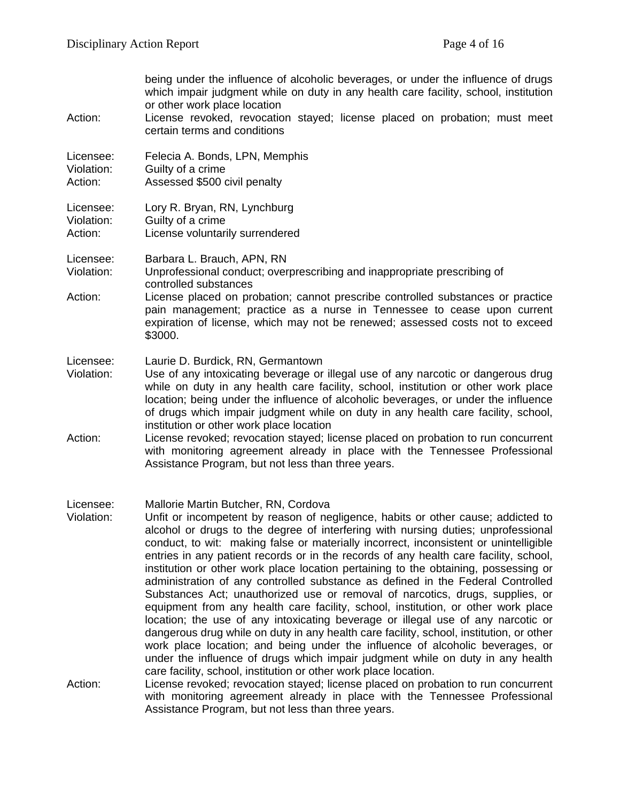|                                    | being under the influence of alcoholic beverages, or under the influence of drugs<br>which impair judgment while on duty in any health care facility, school, institution<br>or other work place location                                                                                                                                                                                                                                                                                                                                                                                                                                                                                                                                                                                                                                                                                                                                                                                                                                                                                                                                                             |
|------------------------------------|-----------------------------------------------------------------------------------------------------------------------------------------------------------------------------------------------------------------------------------------------------------------------------------------------------------------------------------------------------------------------------------------------------------------------------------------------------------------------------------------------------------------------------------------------------------------------------------------------------------------------------------------------------------------------------------------------------------------------------------------------------------------------------------------------------------------------------------------------------------------------------------------------------------------------------------------------------------------------------------------------------------------------------------------------------------------------------------------------------------------------------------------------------------------------|
| Action:                            | License revoked, revocation stayed; license placed on probation; must meet<br>certain terms and conditions                                                                                                                                                                                                                                                                                                                                                                                                                                                                                                                                                                                                                                                                                                                                                                                                                                                                                                                                                                                                                                                            |
| Licensee:<br>Violation:<br>Action: | Felecia A. Bonds, LPN, Memphis<br>Guilty of a crime<br>Assessed \$500 civil penalty                                                                                                                                                                                                                                                                                                                                                                                                                                                                                                                                                                                                                                                                                                                                                                                                                                                                                                                                                                                                                                                                                   |
| Licensee:<br>Violation:<br>Action: | Lory R. Bryan, RN, Lynchburg<br>Guilty of a crime<br>License voluntarily surrendered                                                                                                                                                                                                                                                                                                                                                                                                                                                                                                                                                                                                                                                                                                                                                                                                                                                                                                                                                                                                                                                                                  |
| Licensee:<br>Violation:            | Barbara L. Brauch, APN, RN<br>Unprofessional conduct; overprescribing and inappropriate prescribing of<br>controlled substances                                                                                                                                                                                                                                                                                                                                                                                                                                                                                                                                                                                                                                                                                                                                                                                                                                                                                                                                                                                                                                       |
| Action:                            | License placed on probation; cannot prescribe controlled substances or practice<br>pain management; practice as a nurse in Tennessee to cease upon current<br>expiration of license, which may not be renewed; assessed costs not to exceed<br>\$3000.                                                                                                                                                                                                                                                                                                                                                                                                                                                                                                                                                                                                                                                                                                                                                                                                                                                                                                                |
| Licensee:<br>Violation:<br>Action: | Laurie D. Burdick, RN, Germantown<br>Use of any intoxicating beverage or illegal use of any narcotic or dangerous drug<br>while on duty in any health care facility, school, institution or other work place<br>location; being under the influence of alcoholic beverages, or under the influence<br>of drugs which impair judgment while on duty in any health care facility, school,<br>institution or other work place location<br>License revoked; revocation stayed; license placed on probation to run concurrent                                                                                                                                                                                                                                                                                                                                                                                                                                                                                                                                                                                                                                              |
|                                    | with monitoring agreement already in place with the Tennessee Professional<br>Assistance Program, but not less than three years.                                                                                                                                                                                                                                                                                                                                                                                                                                                                                                                                                                                                                                                                                                                                                                                                                                                                                                                                                                                                                                      |
| Licensee:<br>Violation:            | Mallorie Martin Butcher, RN, Cordova<br>Unfit or incompetent by reason of negligence, habits or other cause; addicted to<br>alcohol or drugs to the degree of interfering with nursing duties; unprofessional<br>conduct, to wit: making false or materially incorrect, inconsistent or unintelligible<br>entries in any patient records or in the records of any health care facility, school,<br>institution or other work place location pertaining to the obtaining, possessing or<br>administration of any controlled substance as defined in the Federal Controlled<br>Substances Act; unauthorized use or removal of narcotics, drugs, supplies, or<br>equipment from any health care facility, school, institution, or other work place<br>location; the use of any intoxicating beverage or illegal use of any narcotic or<br>dangerous drug while on duty in any health care facility, school, institution, or other<br>work place location; and being under the influence of alcoholic beverages, or<br>under the influence of drugs which impair judgment while on duty in any health<br>care facility, school, institution or other work place location. |
| Action:                            | License revoked; revocation stayed; license placed on probation to run concurrent<br>with monitoring agreement already in place with the Tennessee Professional<br>Assistance Program, but not less than three years.                                                                                                                                                                                                                                                                                                                                                                                                                                                                                                                                                                                                                                                                                                                                                                                                                                                                                                                                                 |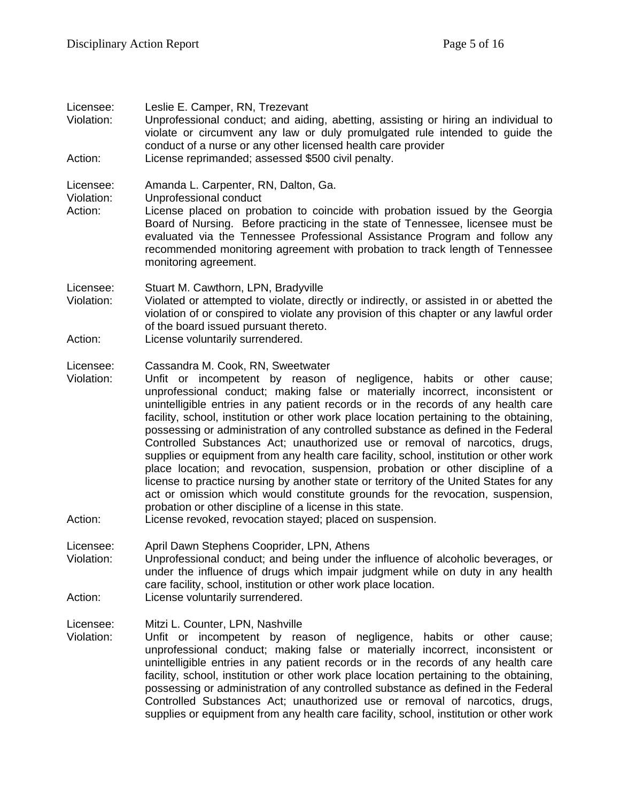| Licensee:<br>Violation:            | Leslie E. Camper, RN, Trezevant<br>Unprofessional conduct; and aiding, abetting, assisting or hiring an individual to<br>violate or circumvent any law or duly promulgated rule intended to guide the<br>conduct of a nurse or any other licensed health care provider                                                                                                                                                                                                                                                                                                                                                                                                                                                                                                                                                                                                                                                                                                                                                             |
|------------------------------------|------------------------------------------------------------------------------------------------------------------------------------------------------------------------------------------------------------------------------------------------------------------------------------------------------------------------------------------------------------------------------------------------------------------------------------------------------------------------------------------------------------------------------------------------------------------------------------------------------------------------------------------------------------------------------------------------------------------------------------------------------------------------------------------------------------------------------------------------------------------------------------------------------------------------------------------------------------------------------------------------------------------------------------|
| Action:                            | License reprimanded; assessed \$500 civil penalty.                                                                                                                                                                                                                                                                                                                                                                                                                                                                                                                                                                                                                                                                                                                                                                                                                                                                                                                                                                                 |
| Licensee:<br>Violation:<br>Action: | Amanda L. Carpenter, RN, Dalton, Ga.<br>Unprofessional conduct<br>License placed on probation to coincide with probation issued by the Georgia<br>Board of Nursing. Before practicing in the state of Tennessee, licensee must be<br>evaluated via the Tennessee Professional Assistance Program and follow any<br>recommended monitoring agreement with probation to track length of Tennessee<br>monitoring agreement.                                                                                                                                                                                                                                                                                                                                                                                                                                                                                                                                                                                                           |
| Licensee:<br>Violation:<br>Action: | Stuart M. Cawthorn, LPN, Bradyville<br>Violated or attempted to violate, directly or indirectly, or assisted in or abetted the<br>violation of or conspired to violate any provision of this chapter or any lawful order<br>of the board issued pursuant thereto.<br>License voluntarily surrendered.                                                                                                                                                                                                                                                                                                                                                                                                                                                                                                                                                                                                                                                                                                                              |
|                                    |                                                                                                                                                                                                                                                                                                                                                                                                                                                                                                                                                                                                                                                                                                                                                                                                                                                                                                                                                                                                                                    |
| Licensee:<br>Violation:<br>Action: | Cassandra M. Cook, RN, Sweetwater<br>Unfit or incompetent by reason of negligence, habits or other cause;<br>unprofessional conduct; making false or materially incorrect, inconsistent or<br>unintelligible entries in any patient records or in the records of any health care<br>facility, school, institution or other work place location pertaining to the obtaining,<br>possessing or administration of any controlled substance as defined in the Federal<br>Controlled Substances Act; unauthorized use or removal of narcotics, drugs,<br>supplies or equipment from any health care facility, school, institution or other work<br>place location; and revocation, suspension, probation or other discipline of a<br>license to practice nursing by another state or territory of the United States for any<br>act or omission which would constitute grounds for the revocation, suspension,<br>probation or other discipline of a license in this state.<br>License revoked, revocation stayed; placed on suspension. |
| Licensee:                          | April Dawn Stephens Cooprider, LPN, Athens                                                                                                                                                                                                                                                                                                                                                                                                                                                                                                                                                                                                                                                                                                                                                                                                                                                                                                                                                                                         |
| Violation:                         | Unprofessional conduct; and being under the influence of alcoholic beverages, or<br>under the influence of drugs which impair judgment while on duty in any health<br>care facility, school, institution or other work place location.                                                                                                                                                                                                                                                                                                                                                                                                                                                                                                                                                                                                                                                                                                                                                                                             |
| Action:                            | License voluntarily surrendered.                                                                                                                                                                                                                                                                                                                                                                                                                                                                                                                                                                                                                                                                                                                                                                                                                                                                                                                                                                                                   |
| Licensee:<br>Violation:            | Mitzi L. Counter, LPN, Nashville<br>Unfit or incompetent by reason of negligence, habits or other cause;<br>unprofessional conduct; making false or materially incorrect, inconsistent or<br>unintelligible entries in any patient records or in the records of any health care<br>facility, school, institution or other work place location pertaining to the obtaining,<br>possessing or administration of any controlled substance as defined in the Federal<br>Controlled Substances Act; unauthorized use or removal of narcotics, drugs,<br>supplies or equipment from any health care facility, school, institution or other work                                                                                                                                                                                                                                                                                                                                                                                          |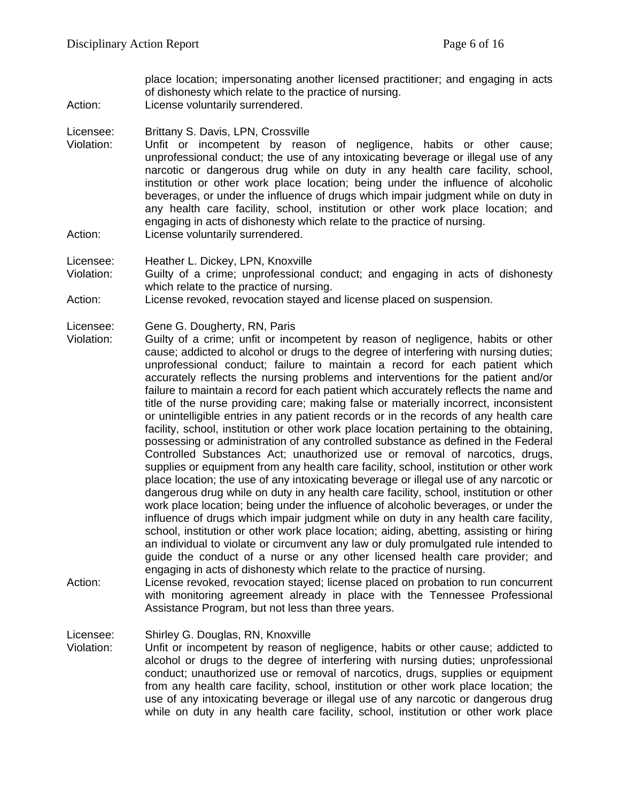place location; impersonating another licensed practitioner; and engaging in acts of dishonesty which relate to the practice of nursing.

Action: License voluntarily surrendered.

Licensee: Brittany S. Davis, LPN, Crossville

Unfit or incompetent by reason of negligence, habits or other cause; unprofessional conduct; the use of any intoxicating beverage or illegal use of any narcotic or dangerous drug while on duty in any health care facility, school, institution or other work place location; being under the influence of alcoholic beverages, or under the influence of drugs which impair judgment while on duty in any health care facility, school, institution or other work place location; and engaging in acts of dishonesty which relate to the practice of nursing. Action: License voluntarily surrendered.

Licensee: Heather L. Dickey, LPN, Knoxville

Violation: Guilty of a crime; unprofessional conduct; and engaging in acts of dishonesty which relate to the practice of nursing.

Action: License revoked, revocation stayed and license placed on suspension.

Licensee: Gene G. Dougherty, RN, Paris

- Violation: Guilty of a crime; unfit or incompetent by reason of negligence, habits or other cause; addicted to alcohol or drugs to the degree of interfering with nursing duties; unprofessional conduct; failure to maintain a record for each patient which accurately reflects the nursing problems and interventions for the patient and/or failure to maintain a record for each patient which accurately reflects the name and title of the nurse providing care; making false or materially incorrect, inconsistent or unintelligible entries in any patient records or in the records of any health care facility, school, institution or other work place location pertaining to the obtaining, possessing or administration of any controlled substance as defined in the Federal Controlled Substances Act; unauthorized use or removal of narcotics, drugs, supplies or equipment from any health care facility, school, institution or other work place location; the use of any intoxicating beverage or illegal use of any narcotic or dangerous drug while on duty in any health care facility, school, institution or other work place location; being under the influence of alcoholic beverages, or under the influence of drugs which impair judgment while on duty in any health care facility, school, institution or other work place location; aiding, abetting, assisting or hiring an individual to violate or circumvent any law or duly promulgated rule intended to guide the conduct of a nurse or any other licensed health care provider; and engaging in acts of dishonesty which relate to the practice of nursing.
- Action: License revoked, revocation stayed; license placed on probation to run concurrent with monitoring agreement already in place with the Tennessee Professional Assistance Program, but not less than three years.

Licensee: Shirley G. Douglas, RN, Knoxville

Violation: Unfit or incompetent by reason of negligence, habits or other cause; addicted to alcohol or drugs to the degree of interfering with nursing duties; unprofessional conduct; unauthorized use or removal of narcotics, drugs, supplies or equipment from any health care facility, school, institution or other work place location; the use of any intoxicating beverage or illegal use of any narcotic or dangerous drug while on duty in any health care facility, school, institution or other work place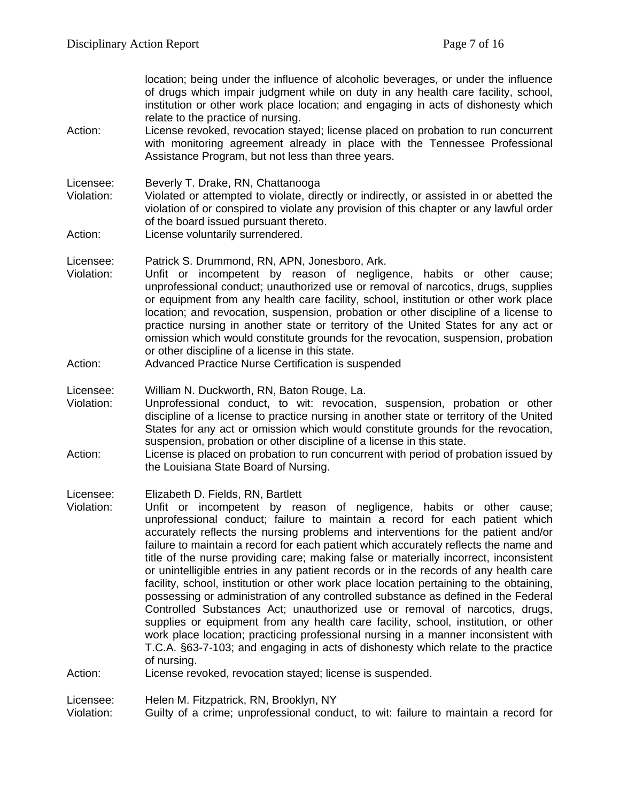location; being under the influence of alcoholic beverages, or under the influence of drugs which impair judgment while on duty in any health care facility, school, institution or other work place location; and engaging in acts of dishonesty which relate to the practice of nursing.

Action: License revoked, revocation stayed; license placed on probation to run concurrent with monitoring agreement already in place with the Tennessee Professional Assistance Program, but not less than three years.

Licensee: Beverly T. Drake, RN, Chattanooga

- Violation: Violated or attempted to violate, directly or indirectly, or assisted in or abetted the violation of or conspired to violate any provision of this chapter or any lawful order of the board issued pursuant thereto.
- Action: License voluntarily surrendered.

Licensee: Patrick S. Drummond, RN, APN, Jonesboro, Ark.

- Violation: Unfit or incompetent by reason of negligence, habits or other cause; unprofessional conduct; unauthorized use or removal of narcotics, drugs, supplies or equipment from any health care facility, school, institution or other work place location; and revocation, suspension, probation or other discipline of a license to practice nursing in another state or territory of the United States for any act or omission which would constitute grounds for the revocation, suspension, probation or other discipline of a license in this state.
- Action: Advanced Practice Nurse Certification is suspended
- Licensee: William N. Duckworth, RN, Baton Rouge, La.
- Violation: Unprofessional conduct, to wit: revocation, suspension, probation or other discipline of a license to practice nursing in another state or territory of the United States for any act or omission which would constitute grounds for the revocation, suspension, probation or other discipline of a license in this state.
- Action: License is placed on probation to run concurrent with period of probation issued by the Louisiana State Board of Nursing.

Licensee: Elizabeth D. Fields, RN, Bartlett<br>Violation: Unfit or incompetent by real

- Unfit or incompetent by reason of negligence, habits or other cause; unprofessional conduct; failure to maintain a record for each patient which accurately reflects the nursing problems and interventions for the patient and/or failure to maintain a record for each patient which accurately reflects the name and title of the nurse providing care; making false or materially incorrect, inconsistent or unintelligible entries in any patient records or in the records of any health care facility, school, institution or other work place location pertaining to the obtaining, possessing or administration of any controlled substance as defined in the Federal Controlled Substances Act; unauthorized use or removal of narcotics, drugs, supplies or equipment from any health care facility, school, institution, or other work place location; practicing professional nursing in a manner inconsistent with T.C.A. §63-7-103; and engaging in acts of dishonesty which relate to the practice of nursing.
- Action: License revoked, revocation stayed; license is suspended.

Licensee: Helen M. Fitzpatrick, RN, Brooklyn, NY

Violation: Guilty of a crime; unprofessional conduct, to wit: failure to maintain a record for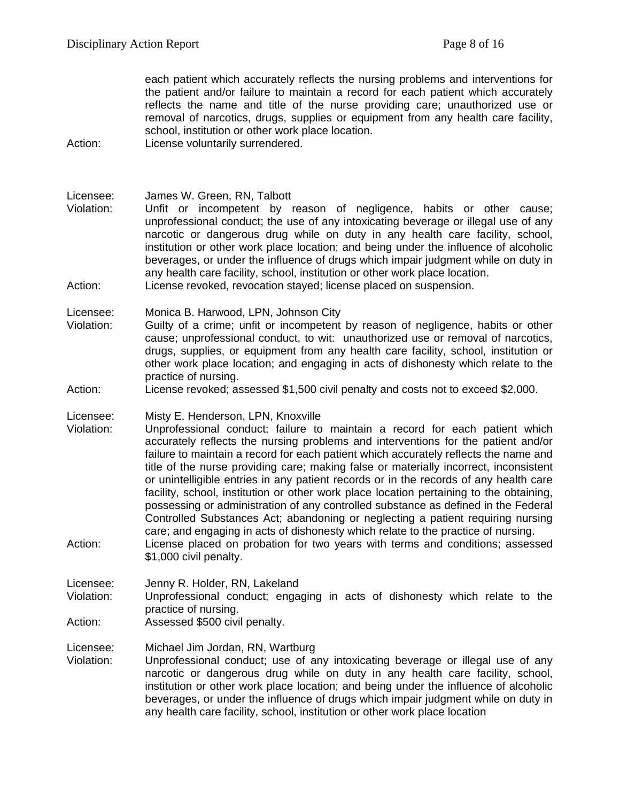each patient which accurately reflects the nursing problems and interventions for the patient and/or failure to maintain a record for each patient which accurately reflects the name and title of the nurse providing care; unauthorized use or removal of narcotics, drugs, supplies or equipment from any health care facility, school, institution or other work place location.

Action: License voluntarily surrendered.

### Licensee: James W. Green, RN, Talbott

Violation: Unfit or incompetent by reason of negligence, habits or other cause; unprofessional conduct; the use of any intoxicating beverage or illegal use of any narcotic or dangerous drug while on duty in any health care facility, school, institution or other work place location; and being under the influence of alcoholic beverages, or under the influence of drugs which impair judgment while on duty in any health care facility, school, institution or other work place location.

Action: License revoked, revocation stayed; license placed on suspension.

Licensee: Monica B. Harwood, LPN, Johnson City

Violation: Guilty of a crime; unfit or incompetent by reason of negligence, habits or other cause; unprofessional conduct, to wit: unauthorized use or removal of narcotics, drugs, supplies, or equipment from any health care facility, school, institution or other work place location; and engaging in acts of dishonesty which relate to the practice of nursing.

Action: License revoked; assessed \$1,500 civil penalty and costs not to exceed \$2,000.

Licensee: Misty E. Henderson, LPN, Knoxville

- Violation: Unprofessional conduct; failure to maintain a record for each patient which accurately reflects the nursing problems and interventions for the patient and/or failure to maintain a record for each patient which accurately reflects the name and title of the nurse providing care; making false or materially incorrect, inconsistent or unintelligible entries in any patient records or in the records of any health care facility, school, institution or other work place location pertaining to the obtaining, possessing or administration of any controlled substance as defined in the Federal Controlled Substances Act; abandoning or neglecting a patient requiring nursing care; and engaging in acts of dishonesty which relate to the practice of nursing.
- Action: License placed on probation for two years with terms and conditions; assessed \$1,000 civil penalty.

Licensee: Jenny R. Holder, RN, Lakeland<br>Violation: Unprofessional conduct: enga

- Unprofessional conduct; engaging in acts of dishonesty which relate to the practice of nursing.
- Action: Assessed \$500 civil penalty.

Licensee: Michael Jim Jordan, RN, Wartburg

Violation: Unprofessional conduct; use of any intoxicating beverage or illegal use of any narcotic or dangerous drug while on duty in any health care facility, school, institution or other work place location; and being under the influence of alcoholic beverages, or under the influence of drugs which impair judgment while on duty in any health care facility, school, institution or other work place location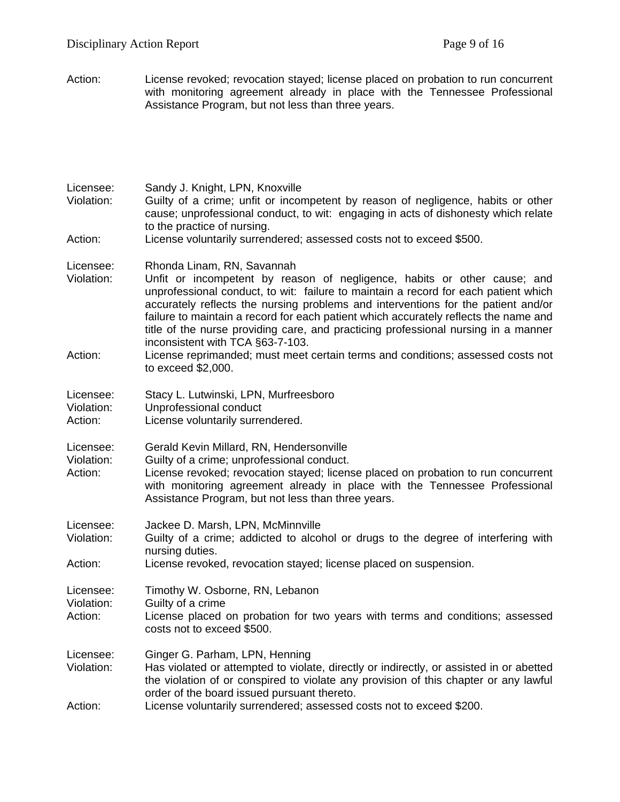Action: License revoked; revocation stayed; license placed on probation to run concurrent with monitoring agreement already in place with the Tennessee Professional Assistance Program, but not less than three years.

| Licensee:<br>Violation:            | Sandy J. Knight, LPN, Knoxville<br>Guilty of a crime; unfit or incompetent by reason of negligence, habits or other<br>cause; unprofessional conduct, to wit: engaging in acts of dishonesty which relate<br>to the practice of nursing.                                                                                                                                                                                                                                                             |
|------------------------------------|------------------------------------------------------------------------------------------------------------------------------------------------------------------------------------------------------------------------------------------------------------------------------------------------------------------------------------------------------------------------------------------------------------------------------------------------------------------------------------------------------|
| Action:                            | License voluntarily surrendered; assessed costs not to exceed \$500.                                                                                                                                                                                                                                                                                                                                                                                                                                 |
| Licensee:<br>Violation:            | Rhonda Linam, RN, Savannah<br>Unfit or incompetent by reason of negligence, habits or other cause; and<br>unprofessional conduct, to wit: failure to maintain a record for each patient which<br>accurately reflects the nursing problems and interventions for the patient and/or<br>failure to maintain a record for each patient which accurately reflects the name and<br>title of the nurse providing care, and practicing professional nursing in a manner<br>inconsistent with TCA §63-7-103. |
| Action:                            | License reprimanded; must meet certain terms and conditions; assessed costs not<br>to exceed \$2,000.                                                                                                                                                                                                                                                                                                                                                                                                |
| Licensee:<br>Violation:<br>Action: | Stacy L. Lutwinski, LPN, Murfreesboro<br>Unprofessional conduct<br>License voluntarily surrendered.                                                                                                                                                                                                                                                                                                                                                                                                  |
| Licensee:<br>Violation:<br>Action: | Gerald Kevin Millard, RN, Hendersonville<br>Guilty of a crime; unprofessional conduct.<br>License revoked; revocation stayed; license placed on probation to run concurrent<br>with monitoring agreement already in place with the Tennessee Professional<br>Assistance Program, but not less than three years.                                                                                                                                                                                      |
| Licensee:<br>Violation:            | Jackee D. Marsh, LPN, McMinnville<br>Guilty of a crime; addicted to alcohol or drugs to the degree of interfering with<br>nursing duties.                                                                                                                                                                                                                                                                                                                                                            |
| Action:                            | License revoked, revocation stayed; license placed on suspension.                                                                                                                                                                                                                                                                                                                                                                                                                                    |
| Licensee:<br>Violation:<br>Action: | Timothy W. Osborne, RN, Lebanon<br>Guilty of a crime<br>License placed on probation for two years with terms and conditions; assessed<br>costs not to exceed \$500.                                                                                                                                                                                                                                                                                                                                  |
| Licensee:<br>Violation:<br>Action: | Ginger G. Parham, LPN, Henning<br>Has violated or attempted to violate, directly or indirectly, or assisted in or abetted<br>the violation of or conspired to violate any provision of this chapter or any lawful<br>order of the board issued pursuant thereto.<br>License voluntarily surrendered; assessed costs not to exceed \$200.                                                                                                                                                             |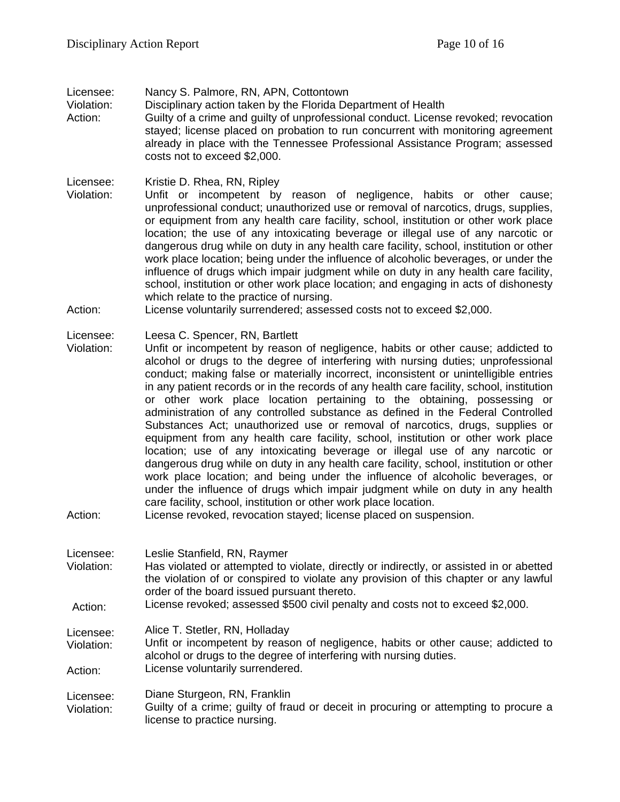Licensee: Nancy S. Palmore, RN, APN, Cottontown<br>Violation: Disciplinary action taken by the Florida De Disciplinary action taken by the Florida Department of Health Action: Guilty of a crime and guilty of unprofessional conduct. License revoked; revocation stayed; license placed on probation to run concurrent with monitoring agreement already in place with the Tennessee Professional Assistance Program; assessed costs not to exceed \$2,000.

Licensee: Kristie D. Rhea, RN, Ripley

Violation: Unfit or incompetent by reason of negligence, habits or other cause; unprofessional conduct; unauthorized use or removal of narcotics, drugs, supplies, or equipment from any health care facility, school, institution or other work place location; the use of any intoxicating beverage or illegal use of any narcotic or dangerous drug while on duty in any health care facility, school, institution or other work place location; being under the influence of alcoholic beverages, or under the influence of drugs which impair judgment while on duty in any health care facility, school, institution or other work place location; and engaging in acts of dishonesty which relate to the practice of nursing.

Action: License voluntarily surrendered; assessed costs not to exceed \$2,000.

Licensee: Leesa C. Spencer, RN, Bartlett

Violation: Unfit or incompetent by reason of negligence, habits or other cause; addicted to alcohol or drugs to the degree of interfering with nursing duties; unprofessional conduct; making false or materially incorrect, inconsistent or unintelligible entries in any patient records or in the records of any health care facility, school, institution or other work place location pertaining to the obtaining, possessing or administration of any controlled substance as defined in the Federal Controlled Substances Act; unauthorized use or removal of narcotics, drugs, supplies or equipment from any health care facility, school, institution or other work place location; use of any intoxicating beverage or illegal use of any narcotic or dangerous drug while on duty in any health care facility, school, institution or other work place location; and being under the influence of alcoholic beverages, or under the influence of drugs which impair judgment while on duty in any health care facility, school, institution or other work place location.

#### Action: License revoked, revocation stayed; license placed on suspension.

| Licensee:  | Leslie Stanfield, RN, Raymer                                                                                                                                                                                                   |
|------------|--------------------------------------------------------------------------------------------------------------------------------------------------------------------------------------------------------------------------------|
| Violation: | Has violated or attempted to violate, directly or indirectly, or assisted in or abetted<br>the violation of or conspired to violate any provision of this chapter or any lawful<br>order of the board issued pursuant thereto. |
| Action:    | License revoked; assessed \$500 civil penalty and costs not to exceed \$2,000.                                                                                                                                                 |
| Licensee:  | Alice T. Stetler, RN, Holladay                                                                                                                                                                                                 |
| Violation: | Unfit or incompetent by reason of negligence, habits or other cause; addicted to<br>alcohol or drugs to the degree of interfering with nursing duties.                                                                         |
| Action:    | License voluntarily surrendered.                                                                                                                                                                                               |
| Licensee:  | Diane Sturgeon, RN, Franklin                                                                                                                                                                                                   |
| Violation: | Guilty of a crime; guilty of fraud or deceit in procuring or attempting to procure a<br>license to practice nursing.                                                                                                           |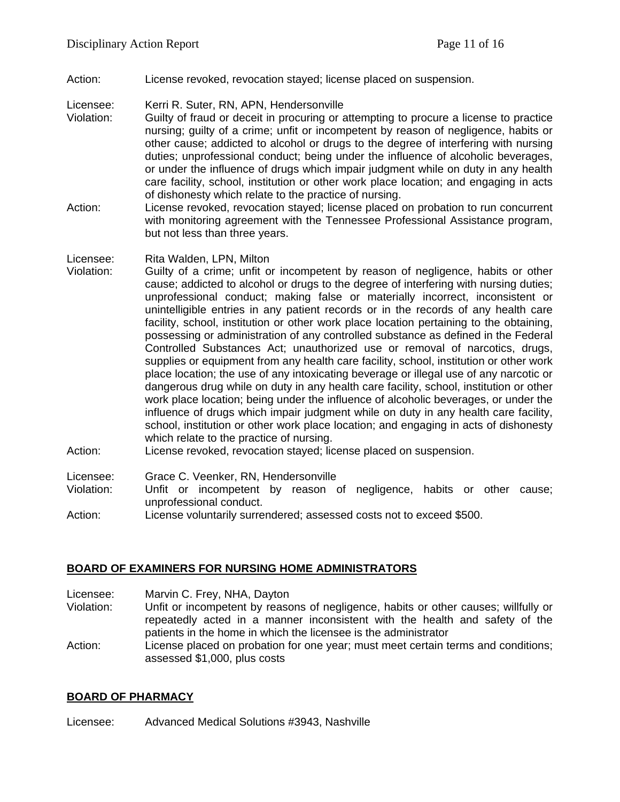Action: License revoked, revocation stayed; license placed on suspension.

Licensee: Kerri R. Suter, RN, APN, Hendersonville

- Violation: Guilty of fraud or deceit in procuring or attempting to procure a license to practice nursing; guilty of a crime; unfit or incompetent by reason of negligence, habits or other cause; addicted to alcohol or drugs to the degree of interfering with nursing duties; unprofessional conduct; being under the influence of alcoholic beverages, or under the influence of drugs which impair judgment while on duty in any health care facility, school, institution or other work place location; and engaging in acts of dishonesty which relate to the practice of nursing.
- Action: License revoked, revocation stayed; license placed on probation to run concurrent with monitoring agreement with the Tennessee Professional Assistance program, but not less than three years.

Licensee: Rita Walden, LPN, Milton

- Violation: Guilty of a crime; unfit or incompetent by reason of negligence, habits or other cause; addicted to alcohol or drugs to the degree of interfering with nursing duties; unprofessional conduct; making false or materially incorrect, inconsistent or unintelligible entries in any patient records or in the records of any health care facility, school, institution or other work place location pertaining to the obtaining, possessing or administration of any controlled substance as defined in the Federal Controlled Substances Act; unauthorized use or removal of narcotics, drugs, supplies or equipment from any health care facility, school, institution or other work place location; the use of any intoxicating beverage or illegal use of any narcotic or dangerous drug while on duty in any health care facility, school, institution or other work place location; being under the influence of alcoholic beverages, or under the influence of drugs which impair judgment while on duty in any health care facility, school, institution or other work place location; and engaging in acts of dishonesty which relate to the practice of nursing.
- Action: License revoked, revocation stayed; license placed on suspension.
- Licensee: Grace C. Veenker, RN, Hendersonville
- Violation: Unfit or incompetent by reason of negligence, habits or other cause; unprofessional conduct.
- Action: License voluntarily surrendered; assessed costs not to exceed \$500.

### **BOARD OF EXAMINERS FOR NURSING HOME ADMINISTRATORS**

Licensee: Marvin C. Frey, NHA, Dayton

- Violation: Unfit or incompetent by reasons of negligence, habits or other causes; willfully or repeatedly acted in a manner inconsistent with the health and safety of the patients in the home in which the licensee is the administrator
- Action: License placed on probation for one year; must meet certain terms and conditions; assessed \$1,000, plus costs

### **BOARD OF PHARMACY**

Licensee: Advanced Medical Solutions #3943, Nashville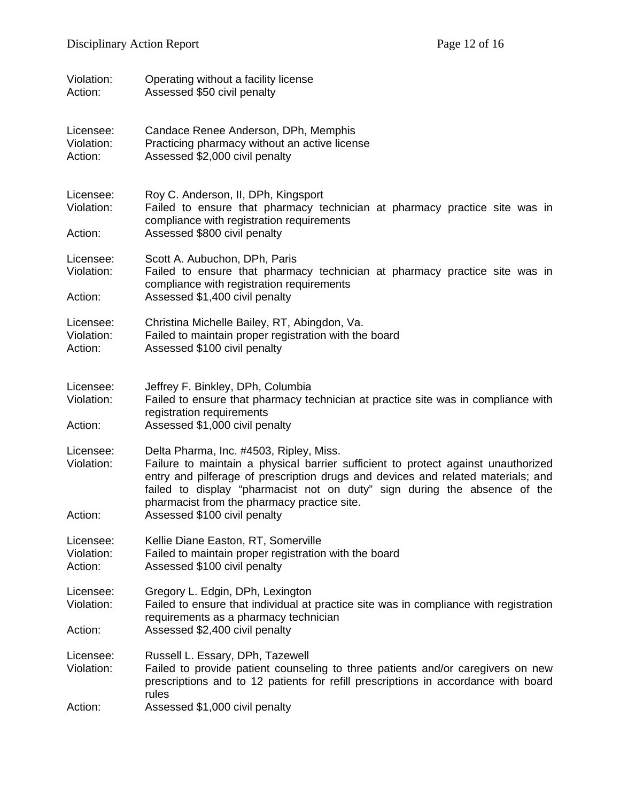| Violation:<br>Action:              | Operating without a facility license<br>Assessed \$50 civil penalty                                                                                                                                                                                                                                                                                                          |  |
|------------------------------------|------------------------------------------------------------------------------------------------------------------------------------------------------------------------------------------------------------------------------------------------------------------------------------------------------------------------------------------------------------------------------|--|
| Licensee:<br>Violation:<br>Action: | Candace Renee Anderson, DPh, Memphis<br>Practicing pharmacy without an active license<br>Assessed \$2,000 civil penalty                                                                                                                                                                                                                                                      |  |
| Licensee:<br>Violation:<br>Action: | Roy C. Anderson, II, DPh, Kingsport<br>Failed to ensure that pharmacy technician at pharmacy practice site was in<br>compliance with registration requirements<br>Assessed \$800 civil penalty                                                                                                                                                                               |  |
| Licensee:<br>Violation:<br>Action: | Scott A. Aubuchon, DPh, Paris<br>Failed to ensure that pharmacy technician at pharmacy practice site was in<br>compliance with registration requirements<br>Assessed \$1,400 civil penalty                                                                                                                                                                                   |  |
| Licensee:<br>Violation:<br>Action: | Christina Michelle Bailey, RT, Abingdon, Va.<br>Failed to maintain proper registration with the board<br>Assessed \$100 civil penalty                                                                                                                                                                                                                                        |  |
| Licensee:<br>Violation:<br>Action: | Jeffrey F. Binkley, DPh, Columbia<br>Failed to ensure that pharmacy technician at practice site was in compliance with<br>registration requirements<br>Assessed \$1,000 civil penalty                                                                                                                                                                                        |  |
| Licensee:<br>Violation:<br>Action: | Delta Pharma, Inc. #4503, Ripley, Miss.<br>Failure to maintain a physical barrier sufficient to protect against unauthorized<br>entry and pilferage of prescription drugs and devices and related materials; and<br>failed to display "pharmacist not on duty" sign during the absence of the<br>pharmacist from the pharmacy practice site.<br>Assessed \$100 civil penalty |  |
| Licensee:<br>Violation:<br>Action: | Kellie Diane Easton, RT, Somerville<br>Failed to maintain proper registration with the board<br>Assessed \$100 civil penalty                                                                                                                                                                                                                                                 |  |
| Licensee:<br>Violation:<br>Action: | Gregory L. Edgin, DPh, Lexington<br>Failed to ensure that individual at practice site was in compliance with registration<br>requirements as a pharmacy technician<br>Assessed \$2,400 civil penalty                                                                                                                                                                         |  |
| Licensee:<br>Violation:            | Russell L. Essary, DPh, Tazewell<br>Failed to provide patient counseling to three patients and/or caregivers on new<br>prescriptions and to 12 patients for refill prescriptions in accordance with board<br>rules                                                                                                                                                           |  |
| Action:                            | Assessed \$1,000 civil penalty                                                                                                                                                                                                                                                                                                                                               |  |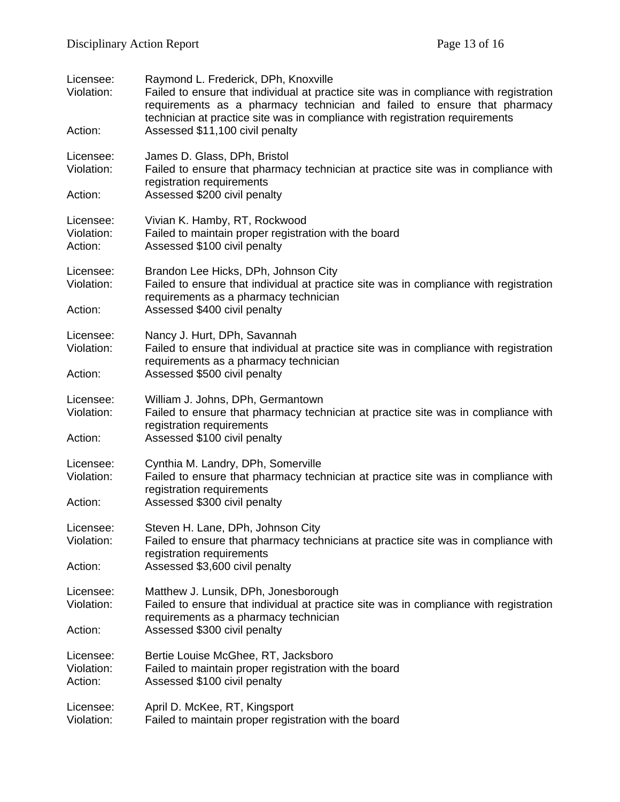| Licensee:<br>Violation:<br>Action: | Raymond L. Frederick, DPh, Knoxville<br>Failed to ensure that individual at practice site was in compliance with registration<br>requirements as a pharmacy technician and failed to ensure that pharmacy<br>technician at practice site was in compliance with registration requirements<br>Assessed \$11,100 civil penalty |
|------------------------------------|------------------------------------------------------------------------------------------------------------------------------------------------------------------------------------------------------------------------------------------------------------------------------------------------------------------------------|
| Licensee:<br>Violation:            | James D. Glass, DPh, Bristol<br>Failed to ensure that pharmacy technician at practice site was in compliance with<br>registration requirements                                                                                                                                                                               |
| Action:                            | Assessed \$200 civil penalty                                                                                                                                                                                                                                                                                                 |
| Licensee:<br>Violation:<br>Action: | Vivian K. Hamby, RT, Rockwood<br>Failed to maintain proper registration with the board<br>Assessed \$100 civil penalty                                                                                                                                                                                                       |
| Licensee:<br>Violation:            | Brandon Lee Hicks, DPh, Johnson City<br>Failed to ensure that individual at practice site was in compliance with registration<br>requirements as a pharmacy technician                                                                                                                                                       |
| Action:                            | Assessed \$400 civil penalty                                                                                                                                                                                                                                                                                                 |
| Licensee:<br>Violation:            | Nancy J. Hurt, DPh, Savannah<br>Failed to ensure that individual at practice site was in compliance with registration<br>requirements as a pharmacy technician                                                                                                                                                               |
| Action:                            | Assessed \$500 civil penalty                                                                                                                                                                                                                                                                                                 |
| Licensee:<br>Violation:            | William J. Johns, DPh, Germantown<br>Failed to ensure that pharmacy technician at practice site was in compliance with<br>registration requirements                                                                                                                                                                          |
| Action:                            | Assessed \$100 civil penalty                                                                                                                                                                                                                                                                                                 |
| Licensee:<br>Violation:            | Cynthia M. Landry, DPh, Somerville<br>Failed to ensure that pharmacy technician at practice site was in compliance with<br>registration requirements                                                                                                                                                                         |
| Action:                            | Assessed \$300 civil penalty                                                                                                                                                                                                                                                                                                 |
| Licensee:<br>Violation:<br>Action: | Steven H. Lane, DPh, Johnson City<br>Failed to ensure that pharmacy technicians at practice site was in compliance with<br>registration requirements<br>Assessed \$3,600 civil penalty                                                                                                                                       |
|                                    |                                                                                                                                                                                                                                                                                                                              |
| Licensee:<br>Violation:            | Matthew J. Lunsik, DPh, Jonesborough<br>Failed to ensure that individual at practice site was in compliance with registration<br>requirements as a pharmacy technician                                                                                                                                                       |
| Action:                            | Assessed \$300 civil penalty                                                                                                                                                                                                                                                                                                 |
| Licensee:<br>Violation:<br>Action: | Bertie Louise McGhee, RT, Jacksboro<br>Failed to maintain proper registration with the board<br>Assessed \$100 civil penalty                                                                                                                                                                                                 |
| Licensee:<br>Violation:            | April D. McKee, RT, Kingsport<br>Failed to maintain proper registration with the board                                                                                                                                                                                                                                       |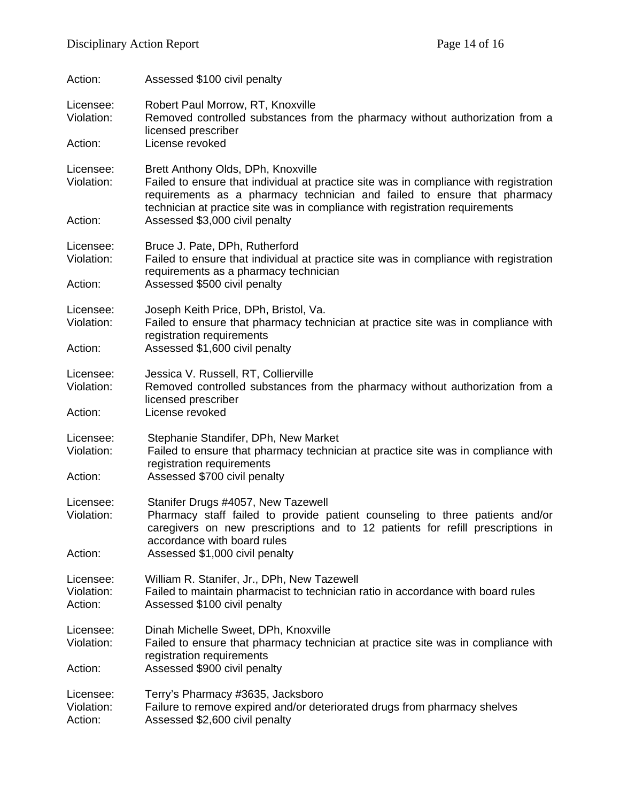| Action:                            | Assessed \$100 civil penalty                                                                                                                                                                                                                                                                                              |
|------------------------------------|---------------------------------------------------------------------------------------------------------------------------------------------------------------------------------------------------------------------------------------------------------------------------------------------------------------------------|
| Licensee:<br>Violation:<br>Action: | Robert Paul Morrow, RT, Knoxville<br>Removed controlled substances from the pharmacy without authorization from a<br>licensed prescriber<br>License revoked                                                                                                                                                               |
| Licensee:<br>Violation:<br>Action: | Brett Anthony Olds, DPh, Knoxville<br>Failed to ensure that individual at practice site was in compliance with registration<br>requirements as a pharmacy technician and failed to ensure that pharmacy<br>technician at practice site was in compliance with registration requirements<br>Assessed \$3,000 civil penalty |
|                                    |                                                                                                                                                                                                                                                                                                                           |
| Licensee:<br>Violation:            | Bruce J. Pate, DPh, Rutherford<br>Failed to ensure that individual at practice site was in compliance with registration<br>requirements as a pharmacy technician                                                                                                                                                          |
| Action:                            | Assessed \$500 civil penalty                                                                                                                                                                                                                                                                                              |
| Licensee:<br>Violation:<br>Action: | Joseph Keith Price, DPh, Bristol, Va.<br>Failed to ensure that pharmacy technician at practice site was in compliance with<br>registration requirements<br>Assessed \$1,600 civil penalty                                                                                                                                 |
|                                    |                                                                                                                                                                                                                                                                                                                           |
| Licensee:<br>Violation:            | Jessica V. Russell, RT, Collierville<br>Removed controlled substances from the pharmacy without authorization from a<br>licensed prescriber                                                                                                                                                                               |
| Action:                            | License revoked                                                                                                                                                                                                                                                                                                           |
| Licensee:<br>Violation:            | Stephanie Standifer, DPh, New Market<br>Failed to ensure that pharmacy technician at practice site was in compliance with<br>registration requirements                                                                                                                                                                    |
| Action:                            | Assessed \$700 civil penalty                                                                                                                                                                                                                                                                                              |
| Licensee:<br>Violation:            | Stanifer Drugs #4057, New Tazewell<br>Pharmacy staff failed to provide patient counseling to three patients and/or<br>caregivers on new prescriptions and to 12 patients for refill prescriptions in<br>accordance with board rules                                                                                       |
| Action:                            | Assessed \$1,000 civil penalty                                                                                                                                                                                                                                                                                            |
| Licensee:<br>Violation:<br>Action: | William R. Stanifer, Jr., DPh, New Tazewell<br>Failed to maintain pharmacist to technician ratio in accordance with board rules<br>Assessed \$100 civil penalty                                                                                                                                                           |
| Licensee:<br>Violation:            | Dinah Michelle Sweet, DPh, Knoxville<br>Failed to ensure that pharmacy technician at practice site was in compliance with<br>registration requirements                                                                                                                                                                    |
| Action:                            | Assessed \$900 civil penalty                                                                                                                                                                                                                                                                                              |
| Licensee:<br>Violation:<br>Action: | Terry's Pharmacy #3635, Jacksboro<br>Failure to remove expired and/or deteriorated drugs from pharmacy shelves<br>Assessed \$2,600 civil penalty                                                                                                                                                                          |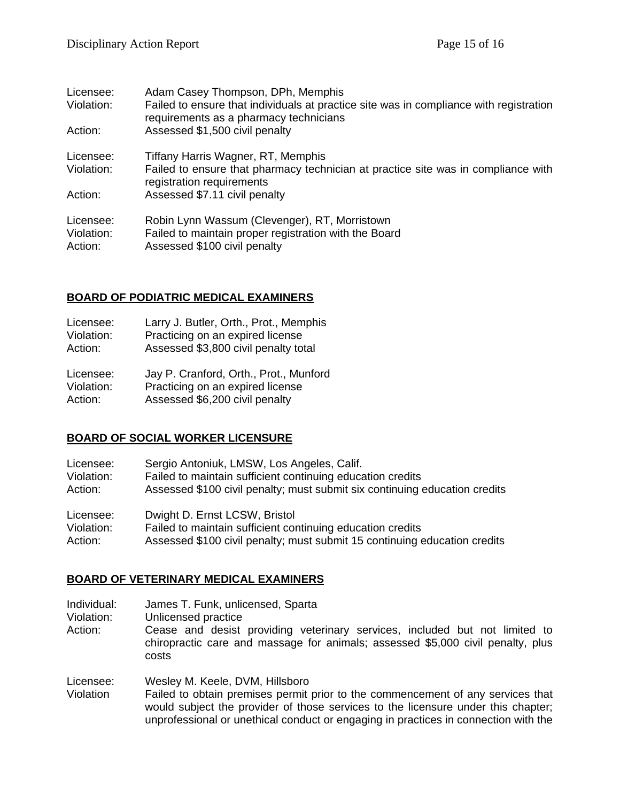| Licensee:<br>Violation:            | Adam Casey Thompson, DPh, Memphis<br>Failed to ensure that individuals at practice site was in compliance with registration<br>requirements as a pharmacy technicians |
|------------------------------------|-----------------------------------------------------------------------------------------------------------------------------------------------------------------------|
| Action:                            | Assessed \$1,500 civil penalty                                                                                                                                        |
| Licensee:<br>Violation:            | Tiffany Harris Wagner, RT, Memphis<br>Failed to ensure that pharmacy technician at practice site was in compliance with<br>registration requirements                  |
| Action:                            | Assessed \$7.11 civil penalty                                                                                                                                         |
| Licensee:<br>Violation:<br>Action: | Robin Lynn Wassum (Clevenger), RT, Morristown<br>Failed to maintain proper registration with the Board<br>Assessed \$100 civil penalty                                |

### **BOARD OF PODIATRIC MEDICAL EXAMINERS**

| Licensee:  | Larry J. Butler, Orth., Prot., Memphis |
|------------|----------------------------------------|
| Violation: | Practicing on an expired license       |
| Action:    | Assessed \$3,800 civil penalty total   |
| Licensee:  | Jay P. Cranford, Orth., Prot., Munford |
| Violation: | Practicing on an expired license       |

Action: Assessed \$6,200 civil penalty

### **BOARD OF SOCIAL WORKER LICENSURE**

| Licensee:  | Sergio Antoniuk, LMSW, Los Angeles, Calif.                                 |
|------------|----------------------------------------------------------------------------|
| Violation: | Failed to maintain sufficient continuing education credits                 |
| Action:    | Assessed \$100 civil penalty; must submit six continuing education credits |
| Licensee:  | Dwight D. Ernst LCSW, Bristol                                              |
| Violation: | Failed to maintain sufficient continuing education credits                 |
| Action:    | Assessed \$100 civil penalty; must submit 15 continuing education credits  |

### **BOARD OF VETERINARY MEDICAL EXAMINERS**

Individual: James T. Funk, unlicensed, Sparta

Violation: Unlicensed practice

Action: Cease and desist providing veterinary services, included but not limited to chiropractic care and massage for animals; assessed \$5,000 civil penalty, plus costs

Licensee: Wesley M. Keele, DVM, Hillsboro

Violation Failed to obtain premises permit prior to the commencement of any services that would subject the provider of those services to the licensure under this chapter; unprofessional or unethical conduct or engaging in practices in connection with the